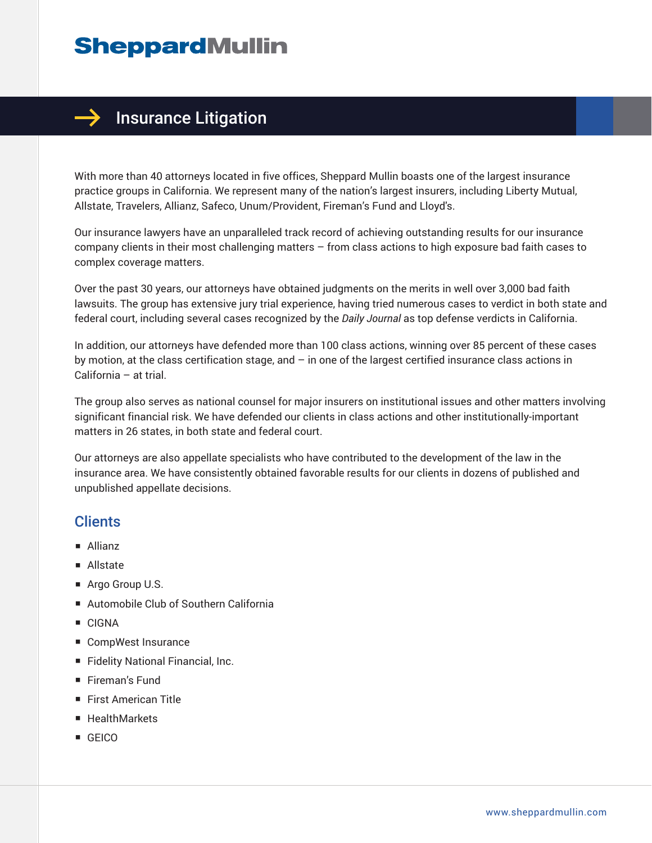

With more than 40 attorneys located in five offices, Sheppard Mullin boasts one of the largest insurance practice groups in California. We represent many of the nation's largest insurers, including Liberty Mutual, Allstate, Travelers, Allianz, Safeco, Unum/Provident, Fireman's Fund and Lloyd's.

Our insurance lawyers have an unparalleled track record of achieving outstanding results for our insurance company clients in their most challenging matters – from class actions to high exposure bad faith cases to complex coverage matters.

Over the past 30 years, our attorneys have obtained judgments on the merits in well over 3,000 bad faith lawsuits. The group has extensive jury trial experience, having tried numerous cases to verdict in both state and federal court, including several cases recognized by the *Daily Journal* as top defense verdicts in California.

In addition, our attorneys have defended more than 100 class actions, winning over 85 percent of these cases by motion, at the class certification stage, and – in one of the largest certified insurance class actions in California – at trial.

The group also serves as national counsel for major insurers on institutional issues and other matters involving significant financial risk. We have defended our clients in class actions and other institutionally-important matters in 26 states, in both state and federal court.

Our attorneys are also appellate specialists who have contributed to the development of the law in the insurance area. We have consistently obtained favorable results for our clients in dozens of published and unpublished appellate decisions.

### **Clients**

- Allianz
- Allstate
- Argo Group U.S.
- Automobile Club of Southern California
- CIGNA
- CompWest Insurance
- Fidelity National Financial, Inc.
- Fireman's Fund
- First American Title
- HealthMarkets
- GEICO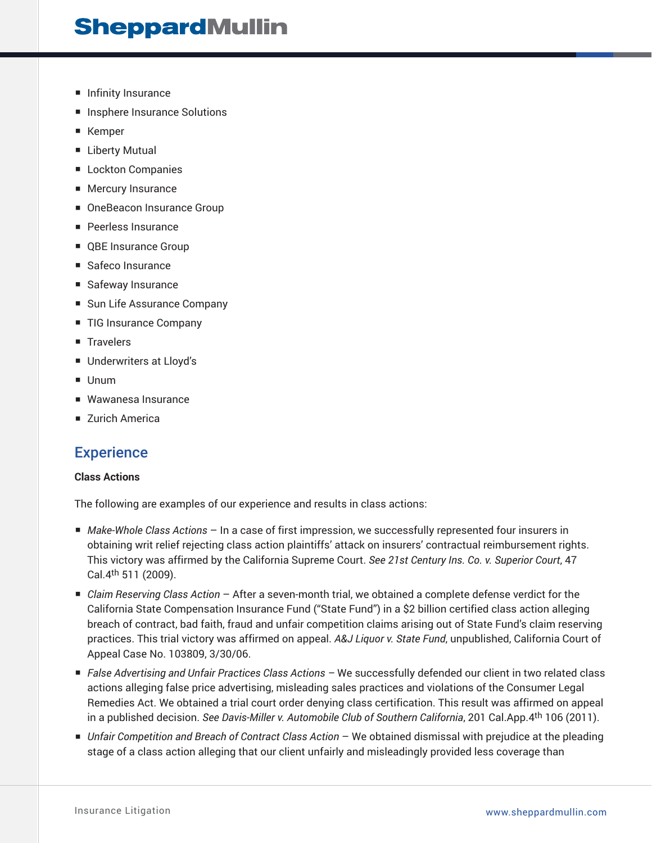- Infinity Insurance
- Insphere Insurance Solutions
- Kemper
- Liberty Mutual
- Lockton Companies
- Mercury Insurance
- OneBeacon Insurance Group
- Peerless Insurance
- QBE Insurance Group
- Safeco Insurance
- Safeway Insurance
- Sun Life Assurance Company
- TIG Insurance Company
- Travelers
- Underwriters at Lloyd's
- Unum
- Wawanesa Insurance
- Zurich America

### **Experience**

### **Class Actions**

The following are examples of our experience and results in class actions:

- *Make-Whole Class Actions* In a case of first impression, we successfully represented four insurers in obtaining writ relief rejecting class action plaintiffs' attack on insurers' contractual reimbursement rights. This victory was affirmed by the California Supreme Court. *See 21st Century Ins. Co. v. Superior Court*, 47 Cal.4th 511 (2009).
- *Claim Reserving Class Action* After a seven-month trial, we obtained a complete defense verdict for the California State Compensation Insurance Fund ("State Fund") in a \$2 billion certified class action alleging breach of contract, bad faith, fraud and unfair competition claims arising out of State Fund's claim reserving practices. This trial victory was affirmed on appeal. *A&J Liquor v. State Fund*, unpublished, California Court of Appeal Case No. 103809, 3/30/06.
- *False Advertising and Unfair Practices Class Actions –* We successfully defended our client in two related class actions alleging false price advertising, misleading sales practices and violations of the Consumer Legal Remedies Act. We obtained a trial court order denying class certification. This result was affirmed on appeal in a published decision. *See Davis-Miller v. Automobile Club of Southern California*, 201 Cal.App.4th 106 (2011).
- *Unfair Competition and Breach of Contract Class Action* We obtained dismissal with prejudice at the pleading stage of a class action alleging that our client unfairly and misleadingly provided less coverage than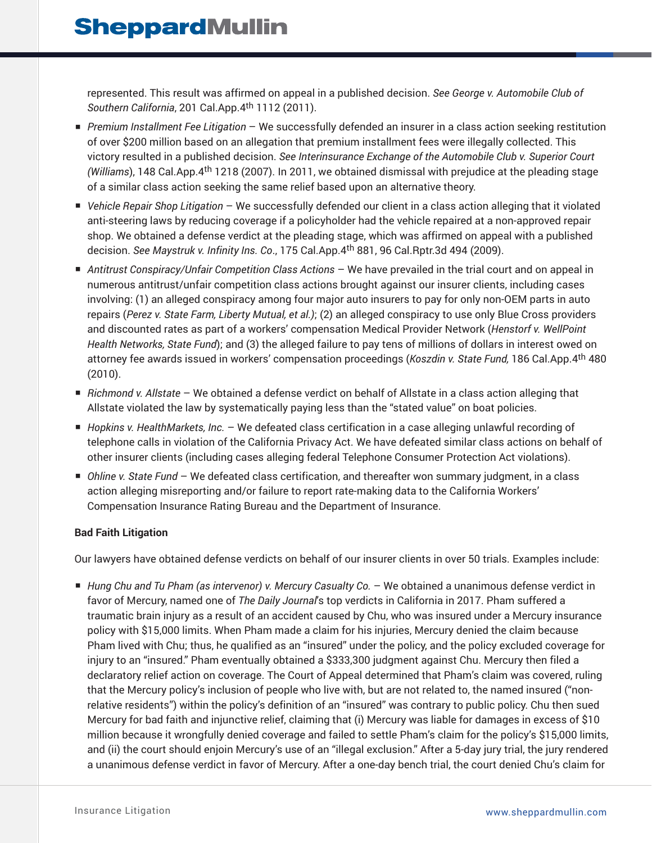represented. This result was affirmed on appeal in a published decision. *See George v. Automobile Club of Southern California*, 201 Cal.App.4th 1112 (2011).

- *Premium Installment Fee Litigation* We successfully defended an insurer in a class action seeking restitution of over \$200 million based on an allegation that premium installment fees were illegally collected. This victory resulted in a published decision. *See Interinsurance Exchange of the Automobile Club v. Superior Court (Williams*), 148 Cal.App.4th 1218 (2007). In 2011, we obtained dismissal with prejudice at the pleading stage of a similar class action seeking the same relief based upon an alternative theory.
- *Vehicle Repair Shop Litigation* We successfully defended our client in a class action alleging that it violated anti-steering laws by reducing coverage if a policyholder had the vehicle repaired at a non-approved repair shop. We obtained a defense verdict at the pleading stage, which was affirmed on appeal with a published decision. *See Maystruk v. Infinity Ins. Co*., 175 Cal.App.4th 881, 96 Cal.Rptr.3d 494 (2009).
- *Antitrust Conspiracy/Unfair Competition Class Actions* We have prevailed in the trial court and on appeal in numerous antitrust/unfair competition class actions brought against our insurer clients, including cases involving: (1) an alleged conspiracy among four major auto insurers to pay for only non-OEM parts in auto repairs (*Perez v. State Farm, Liberty Mutual, et al.)*; (2) an alleged conspiracy to use only Blue Cross providers and discounted rates as part of a workers' compensation Medical Provider Network (*Henstorf v. WellPoint Health Networks, State Fund*); and (3) the alleged failure to pay tens of millions of dollars in interest owed on attorney fee awards issued in workers' compensation proceedings (*Koszdin v. State Fund,* 186 Cal.App.4th 480 (2010).
- *Richmond v. Allstate* We obtained a defense verdict on behalf of Allstate in a class action alleging that Allstate violated the law by systematically paying less than the "stated value" on boat policies.
- *Hopkins v. HealthMarkets, Inc.* − We defeated class certification in a case alleging unlawful recording of telephone calls in violation of the California Privacy Act. We have defeated similar class actions on behalf of other insurer clients (including cases alleging federal Telephone Consumer Protection Act violations).
- *Ohline v. State Fund* We defeated class certification, and thereafter won summary judgment, in a class action alleging misreporting and/or failure to report rate-making data to the California Workers' Compensation Insurance Rating Bureau and the Department of Insurance.

### **Bad Faith Litigation**

Our lawyers have obtained defense verdicts on behalf of our insurer clients in over 50 trials. Examples include:

■ *Hung Chu and Tu Pham (as intervenor) v. Mercury Casualty Co.* − We obtained a unanimous defense verdict in favor of Mercury, named one of *The Daily Journal*'s top verdicts in California in 2017. Pham suffered a traumatic brain injury as a result of an accident caused by Chu, who was insured under a Mercury insurance policy with \$15,000 limits. When Pham made a claim for his injuries, Mercury denied the claim because Pham lived with Chu; thus, he qualified as an "insured" under the policy, and the policy excluded coverage for injury to an "insured." Pham eventually obtained a \$333,300 judgment against Chu. Mercury then filed a declaratory relief action on coverage. The Court of Appeal determined that Pham's claim was covered, ruling that the Mercury policy's inclusion of people who live with, but are not related to, the named insured ("nonrelative residents") within the policy's definition of an "insured" was contrary to public policy. Chu then sued Mercury for bad faith and injunctive relief, claiming that (i) Mercury was liable for damages in excess of \$10 million because it wrongfully denied coverage and failed to settle Pham's claim for the policy's \$15,000 limits, and (ii) the court should enjoin Mercury's use of an "illegal exclusion." After a 5-day jury trial, the jury rendered a unanimous defense verdict in favor of Mercury. After a one-day bench trial, the court denied Chu's claim for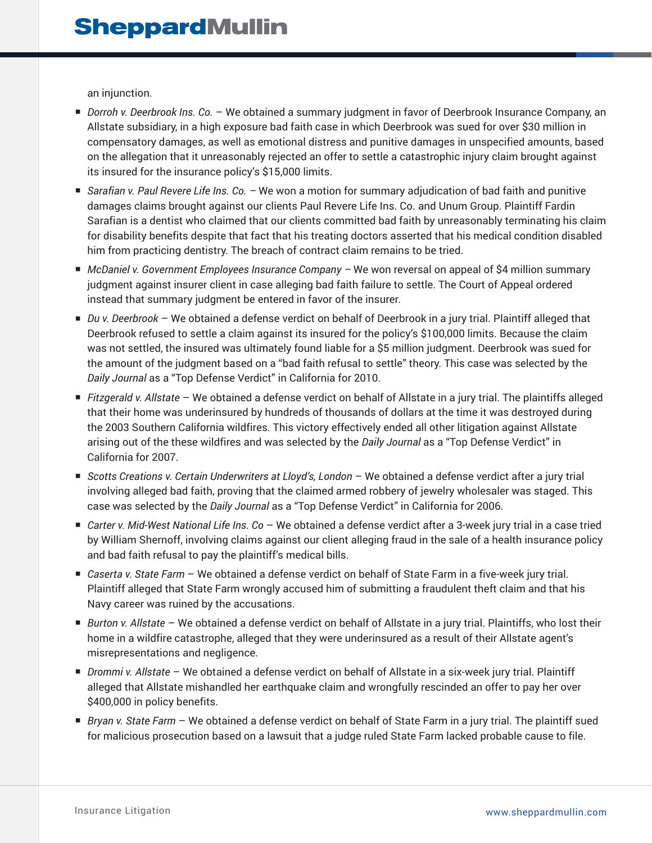an injunction.

- *Dorroh v. Deerbrook Ins. Co.* − We obtained a summary judgment in favor of Deerbrook Insurance Company, an Allstate subsidiary, in a high exposure bad faith case in which Deerbrook was sued for over \$30 million in compensatory damages, as well as emotional distress and punitive damages in unspecified amounts, based on the allegation that it unreasonably rejected an offer to settle a catastrophic injury claim brought against its insured for the insurance policy's \$15,000 limits.
- *Sarafian v. Paul Revere Life Ins. Co.* We won a motion for summary adjudication of bad faith and punitive damages claims brought against our clients Paul Revere Life Ins. Co. and Unum Group. Plaintiff Fardin Sarafian is a dentist who claimed that our clients committed bad faith by unreasonably terminating his claim for disability benefits despite that fact that his treating doctors asserted that his medical condition disabled him from practicing dentistry. The breach of contract claim remains to be tried.
- *McDaniel v. Government Employees Insurance Company* We won reversal on appeal of \$4 million summary judgment against insurer client in case alleging bad faith failure to settle. The Court of Appeal ordered instead that summary judgment be entered in favor of the insurer*.*
- *Du v. Deerbrook* We obtained a defense verdict on behalf of Deerbrook in a jury trial. Plaintiff alleged that Deerbrook refused to settle a claim against its insured for the policy's \$100,000 limits. Because the claim was not settled, the insured was ultimately found liable for a \$5 million judgment. Deerbrook was sued for the amount of the judgment based on a "bad faith refusal to settle" theory. This case was selected by the *Daily Journal* as a "Top Defense Verdict" in California for 2010.
- *Fitzgerald v. Allstate* We obtained a defense verdict on behalf of Allstate in a jury trial. The plaintiffs alleged that their home was underinsured by hundreds of thousands of dollars at the time it was destroyed during the 2003 Southern California wildfires. This victory effectively ended all other litigation against Allstate arising out of the these wildfires and was selected by the *Daily Journal* as a "Top Defense Verdict" in California for 2007.
- *Scotts Creations v. Certain Underwriters at Lloyd's, London* We obtained a defense verdict after a jury trial involving alleged bad faith, proving that the claimed armed robbery of jewelry wholesaler was staged. This case was selected by the *Daily Journal* as a "Top Defense Verdict" in California for 2006.
- *Carter v. Mid-West National Life Ins. Co* We obtained a defense verdict after a 3-week jury trial in a case tried by William Shernoff, involving claims against our client alleging fraud in the sale of a health insurance policy and bad faith refusal to pay the plaintiff's medical bills.
- *Caserta v. State Farm* We obtained a defense verdict on behalf of State Farm in a five-week jury trial. Plaintiff alleged that State Farm wrongly accused him of submitting a fraudulent theft claim and that his Navy career was ruined by the accusations.
- *Burton v. Allstate* We obtained a defense verdict on behalf of Allstate in a jury trial. Plaintiffs, who lost their home in a wildfire catastrophe, alleged that they were underinsured as a result of their Allstate agent's misrepresentations and negligence.
- *Drommi v. Allstate* We obtained a defense verdict on behalf of Allstate in a six-week jury trial. Plaintiff alleged that Allstate mishandled her earthquake claim and wrongfully rescinded an offer to pay her over \$400,000 in policy benefits.
- *Bryan v. State Farm* We obtained a defense verdict on behalf of State Farm in a jury trial. The plaintiff sued for malicious prosecution based on a lawsuit that a judge ruled State Farm lacked probable cause to file.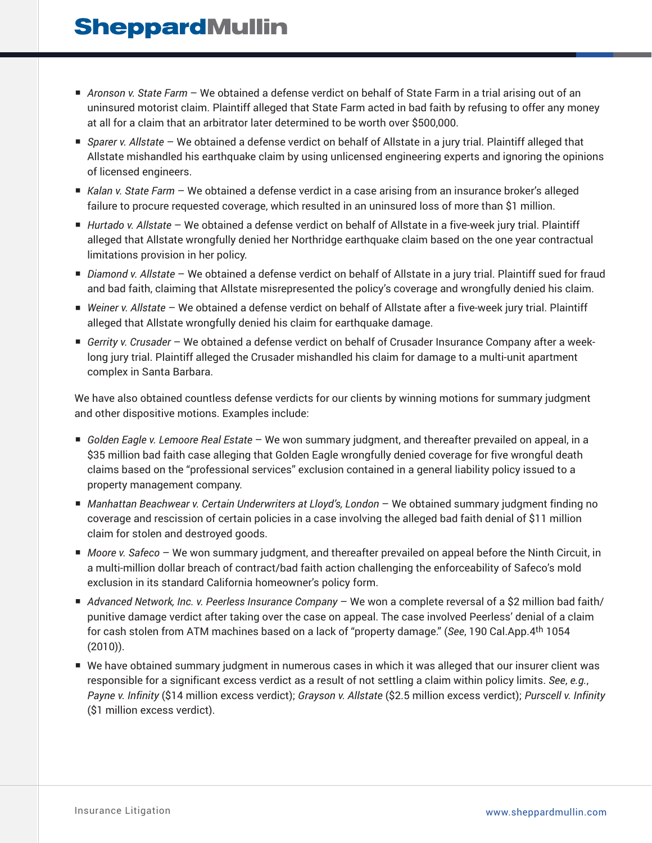- *Aronson v. State Farm* We obtained a defense verdict on behalf of State Farm in a trial arising out of an uninsured motorist claim. Plaintiff alleged that State Farm acted in bad faith by refusing to offer any money at all for a claim that an arbitrator later determined to be worth over \$500,000.
- *Sparer v. Allstate* We obtained a defense verdict on behalf of Allstate in a jury trial. Plaintiff alleged that Allstate mishandled his earthquake claim by using unlicensed engineering experts and ignoring the opinions of licensed engineers.
- *Kalan v. State Farm* We obtained a defense verdict in a case arising from an insurance broker's alleged failure to procure requested coverage, which resulted in an uninsured loss of more than \$1 million.
- *Hurtado v. Allstate* We obtained a defense verdict on behalf of Allstate in a five-week jury trial. Plaintiff alleged that Allstate wrongfully denied her Northridge earthquake claim based on the one year contractual limitations provision in her policy.
- *Diamond v. Allstate* We obtained a defense verdict on behalf of Allstate in a jury trial. Plaintiff sued for fraud and bad faith, claiming that Allstate misrepresented the policy's coverage and wrongfully denied his claim.
- *Weiner v. Allstate* We obtained a defense verdict on behalf of Allstate after a five-week jury trial. Plaintiff alleged that Allstate wrongfully denied his claim for earthquake damage.
- *Gerrity v. Crusader* We obtained a defense verdict on behalf of Crusader Insurance Company after a weeklong jury trial. Plaintiff alleged the Crusader mishandled his claim for damage to a multi-unit apartment complex in Santa Barbara.

We have also obtained countless defense verdicts for our clients by winning motions for summary judgment and other dispositive motions. Examples include:

- *Golden Eagle v. Lemoore Real Estate* We won summary judgment, and thereafter prevailed on appeal, in a \$35 million bad faith case alleging that Golden Eagle wrongfully denied coverage for five wrongful death claims based on the "professional services" exclusion contained in a general liability policy issued to a property management company.
- *Manhattan Beachwear v. Certain Underwriters at Lloyd's, London* We obtained summary judgment finding no coverage and rescission of certain policies in a case involving the alleged bad faith denial of \$11 million claim for stolen and destroyed goods.
- *Moore v. Safeco* We won summary judgment, and thereafter prevailed on appeal before the Ninth Circuit, in a multi-million dollar breach of contract/bad faith action challenging the enforceability of Safeco's mold exclusion in its standard California homeowner's policy form.
- *Advanced Network, Inc. v. Peerless Insurance Company* We won a complete reversal of a \$2 million bad faith/ punitive damage verdict after taking over the case on appeal. The case involved Peerless' denial of a claim for cash stolen from ATM machines based on a lack of "property damage." (*See*, 190 Cal.App.4th 1054 (2010)).
- We have obtained summary judgment in numerous cases in which it was alleged that our insurer client was responsible for a significant excess verdict as a result of not settling a claim within policy limits. *See*, *e.g.*, *Payne v. Infinity* (\$14 million excess verdict); *Grayson v. Allstate* (\$2.5 million excess verdict); *Purscell v. Infinity* (\$1 million excess verdict).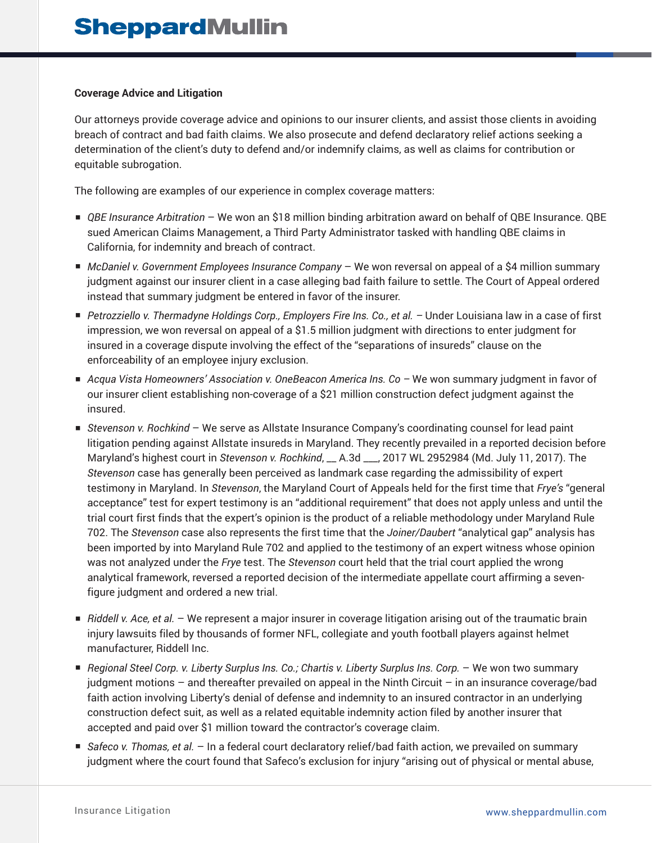#### **Coverage Advice and Litigation**

Our attorneys provide coverage advice and opinions to our insurer clients, and assist those clients in avoiding breach of contract and bad faith claims. We also prosecute and defend declaratory relief actions seeking a determination of the client's duty to defend and/or indemnify claims, as well as claims for contribution or equitable subrogation.

The following are examples of our experience in complex coverage matters:

- *QBE Insurance Arbitration* − We won an \$18 million binding arbitration award on behalf of QBE Insurance. QBE sued American Claims Management, a Third Party Administrator tasked with handling QBE claims in California, for indemnity and breach of contract.
- *McDaniel v. Government Employees Insurance Company* We won reversal on appeal of a \$4 million summary judgment against our insurer client in a case alleging bad faith failure to settle. The Court of Appeal ordered instead that summary judgment be entered in favor of the insurer.
- *Petrozziello v. Thermadyne Holdings Corp., Employers Fire Ins. Co., et al.* Under Louisiana law in a case of first impression, we won reversal on appeal of a \$1.5 million judgment with directions to enter judgment for insured in a coverage dispute involving the effect of the "separations of insureds" clause on the enforceability of an employee injury exclusion.
- *Acqua Vista Homeowners' Association v. OneBeacon America Ins. Co* We won summary judgment in favor of our insurer client establishing non-coverage of a \$21 million construction defect judgment against the insured.
- *Stevenson v. Rochkind* We serve as Allstate Insurance Company's coordinating counsel for lead paint litigation pending against Allstate insureds in Maryland. They recently prevailed in a reported decision before Maryland's highest court in *Stevenson v. Rochkind*, \_\_ A.3d \_\_\_, 2017 WL 2952984 (Md. July 11, 2017). The *Stevenson* case has generally been perceived as landmark case regarding the admissibility of expert testimony in Maryland. In *Stevenson*, the Maryland Court of Appeals held for the first time that *Frye's* "general acceptance" test for expert testimony is an "additional requirement" that does not apply unless and until the trial court first finds that the expert's opinion is the product of a reliable methodology under Maryland Rule 702. The *Stevenson* case also represents the first time that the *Joiner/Daubert* "analytical gap" analysis has been imported by into Maryland Rule 702 and applied to the testimony of an expert witness whose opinion was not analyzed under the *Frye* test. The *Stevenson* court held that the trial court applied the wrong analytical framework, reversed a reported decision of the intermediate appellate court affirming a sevenfigure judgment and ordered a new trial.
- *Riddell v. Ace, et al.* − We represent a major insurer in coverage litigation arising out of the traumatic brain injury lawsuits filed by thousands of former NFL, collegiate and youth football players against helmet manufacturer, Riddell Inc.
- *Regional Steel Corp. v. Liberty Surplus Ins. Co.; Chartis v. Liberty Surplus Ins. Corp.* We won two summary judgment motions – and thereafter prevailed on appeal in the Ninth Circuit – in an insurance coverage/bad faith action involving Liberty's denial of defense and indemnity to an insured contractor in an underlying construction defect suit, as well as a related equitable indemnity action filed by another insurer that accepted and paid over \$1 million toward the contractor's coverage claim.
- *Safeco v. Thomas, et al.* − In a federal court declaratory relief/bad faith action, we prevailed on summary judgment where the court found that Safeco's exclusion for injury "arising out of physical or mental abuse,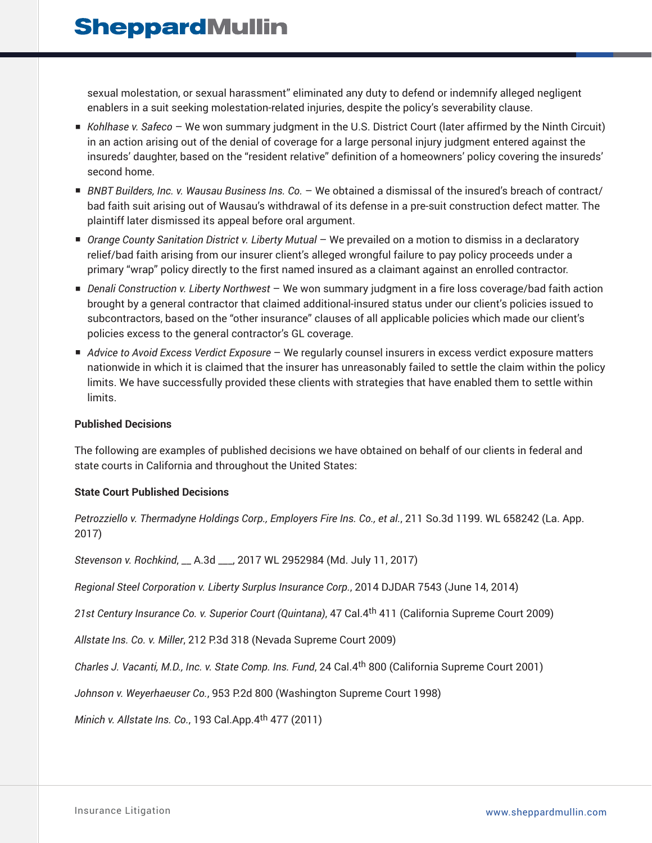sexual molestation, or sexual harassment" eliminated any duty to defend or indemnify alleged negligent enablers in a suit seeking molestation-related injuries, despite the policy's severability clause.

- *Kohlhase v. Safeco* We won summary judgment in the U.S. District Court (later affirmed by the Ninth Circuit) in an action arising out of the denial of coverage for a large personal injury judgment entered against the insureds' daughter, based on the "resident relative" definition of a homeowners' policy covering the insureds' second home.
- *BNBT Builders, Inc. v. Wausau Business Ins. Co.* − We obtained a dismissal of the insured's breach of contract/ bad faith suit arising out of Wausau's withdrawal of its defense in a pre-suit construction defect matter. The plaintiff later dismissed its appeal before oral argument.
- *Orange County Sanitation District v. Liberty Mutual* We prevailed on a motion to dismiss in a declaratory relief/bad faith arising from our insurer client's alleged wrongful failure to pay policy proceeds under a primary "wrap" policy directly to the first named insured as a claimant against an enrolled contractor.
- *Denali Construction v. Liberty Northwest* We won summary judgment in a fire loss coverage/bad faith action brought by a general contractor that claimed additional-insured status under our client's policies issued to subcontractors, based on the "other insurance" clauses of all applicable policies which made our client's policies excess to the general contractor's GL coverage.
- *Advice to Avoid Excess Verdict Exposure* We regularly counsel insurers in excess verdict exposure matters nationwide in which it is claimed that the insurer has unreasonably failed to settle the claim within the policy limits. We have successfully provided these clients with strategies that have enabled them to settle within limits.

### **Published Decisions**

The following are examples of published decisions we have obtained on behalf of our clients in federal and state courts in California and throughout the United States:

### **State Court Published Decisions**

*Petrozziello v. Thermadyne Holdings Corp., Employers Fire Ins. Co., et al.*, 211 So.3d 1199. WL 658242 (La. App. 2017)

*Stevenson v. Rochkind*, \_\_ A.3d \_\_\_, 2017 WL 2952984 (Md. July 11, 2017)

*Regional Steel Corporation v. Liberty Surplus Insurance Corp.*, 2014 DJDAR 7543 (June 14, 2014)

*21st Century Insurance Co. v. Superior Court (Quintana)*, 47 Cal.4th 411 (California Supreme Court 2009)

*Allstate Ins. Co. v. Miller*, 212 P.3d 318 (Nevada Supreme Court 2009)

*Charles J. Vacanti, M.D., Inc. v. State Comp. Ins. Fund*, 24 Cal.4th 800 (California Supreme Court 2001)

*Johnson v. Weyerhaeuser Co.*, 953 P.2d 800 (Washington Supreme Court 1998)

*Minich v. Allstate Ins. Co.*, 193 Cal.App.4th 477 (2011)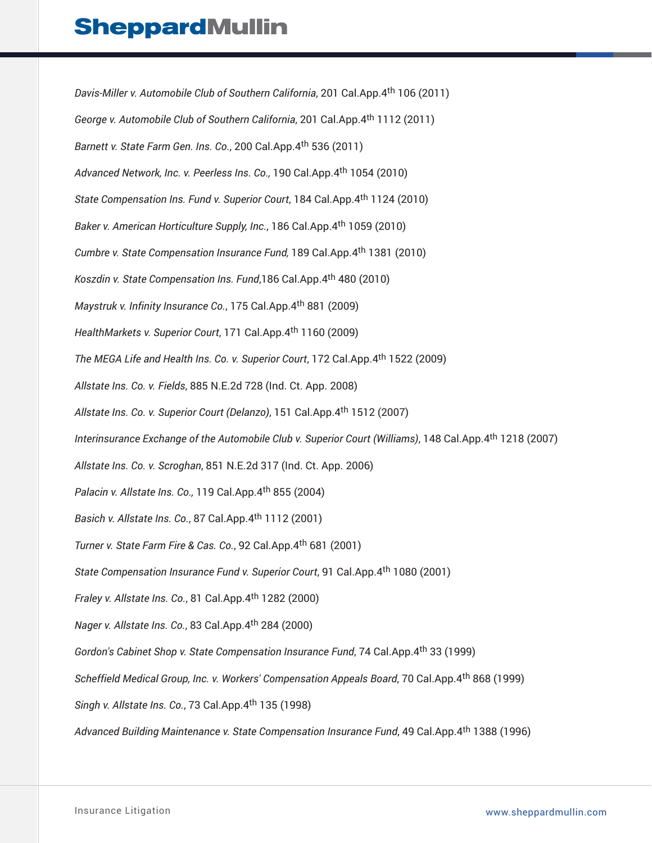*Davis-Miller v. Automobile Club of Southern California*, 201 Cal.App.4th 106 (2011) *George v. Automobile Club of Southern California*, 201 Cal.App.4th 1112 (2011) *Barnett v. State Farm Gen. Ins. Co.*, 200 Cal.App.4th 536 (2011) *Advanced Network, Inc. v. Peerless Ins. Co.,* 190 Cal.App.4th 1054 (2010) *State Compensation Ins. Fund v. Superior Court*, 184 Cal.App.4th 1124 (2010) *Baker v. American Horticulture Supply, Inc.*, 186 Cal.App.4th 1059 (2010) *Cumbre v. State Compensation Insurance Fund,* 189 Cal.App.4th 1381 (2010) *Koszdin v. State Compensation Ins. Fund*,186 Cal.App.4th 480 (2010) *Maystruk v. Infinity Insurance Co.*, 175 Cal.App.4th 881 (2009) *HealthMarkets v. Superior Court*, 171 Cal.App.4th 1160 (2009) *The MEGA Life and Health Ins. Co. v. Superior Court*, 172 Cal.App.4th 1522 (2009) *Allstate Ins. Co. v. Fields*, 885 N.E.2d 728 (Ind. Ct. App. 2008) *Allstate Ins. Co. v. Superior Court (Delanzo)*, 151 Cal.App.4th 1512 (2007) *Interinsurance Exchange of the Automobile Club v. Superior Court (Williams)*, 148 Cal.App.4th 1218 (2007) *Allstate Ins. Co. v. Scroghan*, 851 N.E.2d 317 (Ind. Ct. App. 2006) *Palacin v. Allstate Ins. Co.,* 119 Cal.App.4th 855 (2004) *Basich v. Allstate Ins. Co.*, 87 Cal.App.4th 1112 (2001) *Turner v. State Farm Fire & Cas. Co.*, 92 Cal.App.4th 681 (2001) *State Compensation Insurance Fund v. Superior Court*, 91 Cal.App.4th 1080 (2001) *Fraley v. Allstate Ins. Co.*, 81 Cal.App.4th 1282 (2000) *Nager v. Allstate Ins. Co.*, 83 Cal.App.4th 284 (2000) *Gordon's Cabinet Shop v. State Compensation Insurance Fund*, 74 Cal.App.4th 33 (1999) *Scheffield Medical Group, Inc. v. Workers' Compensation Appeals Board*, 70 Cal.App.4th 868 (1999) *Singh v. Allstate Ins. Co.*, 73 Cal.App.4th 135 (1998) *Advanced Building Maintenance v. State Compensation Insurance Fund*, 49 Cal.App.4th 1388 (1996)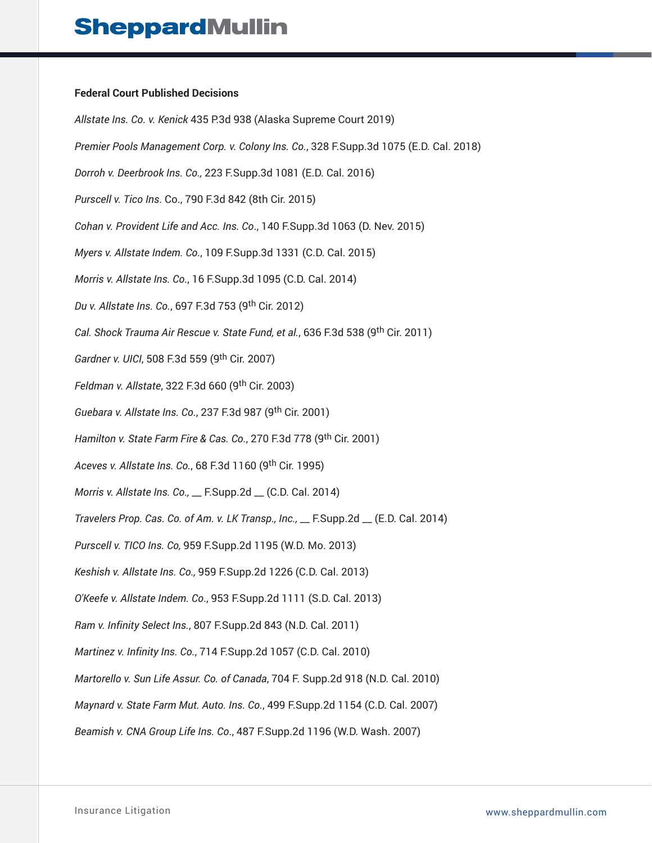#### **Federal Court Published Decisions**

*Allstate Ins. Co. v. Kenick* 435 P.3d 938 (Alaska Supreme Court 2019) *Premier Pools Management Corp. v. Colony Ins. Co.*, 328 F.Supp.3d 1075 (E.D. Cal. 2018) *Dorroh v. Deerbrook Ins. Co.,* 223 F.Supp.3d 1081 (E.D. Cal. 2016) *Purscell v. Tico Ins*. Co., 790 F.3d 842 (8th Cir. 2015) *Cohan v. Provident Life and Acc. Ins. Co*., 140 F.Supp.3d 1063 (D. Nev. 2015) *Myers v. Allstate Indem. Co.*, 109 F.Supp.3d 1331 (C.D. Cal. 2015) *Morris v. Allstate Ins. Co.*, 16 F.Supp.3d 1095 (C.D. Cal. 2014) *Du v. Allstate Ins. Co.*, 697 F.3d 753 (9th Cir. 2012) *Cal. Shock Trauma Air Rescue v. State Fund, et al.*, 636 F.3d 538 (9th Cir. 2011) *Gardner v. UICI*, 508 F.3d 559 (9th Cir. 2007) *Feldman v. Allstate*, 322 F.3d 660 (9th Cir. 2003) *Guebara v. Allstate Ins. Co.*, 237 F.3d 987 (9th Cir. 2001) *Hamilton v. State Farm Fire & Cas. Co.*, 270 F.3d 778 (9th Cir. 2001) *Aceves v. Allstate Ins. Co.*, 68 F.3d 1160 (9th Cir. 1995) *Morris v. Allstate Ins. Co.,* \_\_ F.Supp.2d \_\_ (C.D. Cal. 2014) *Travelers Prop. Cas. Co. of Am. v. LK Transp., Inc.,* \_\_ F.Supp.2d \_\_ (E.D. Cal. 2014) *Purscell v. TICO Ins. Co,* 959 F.Supp.2d 1195 (W.D. Mo. 2013) *Keshish v. Allstate Ins. Co.,* 959 F.Supp.2d 1226 (C.D. Cal. 2013) *O'Keefe v. Allstate Indem. Co*., 953 F.Supp.2d 1111 (S.D. Cal. 2013) *Ram v. Infinity Select Ins.*, 807 F.Supp.2d 843 (N.D. Cal. 2011) *Martinez v. Infinity Ins. Co.*, 714 F.Supp.2d 1057 (C.D. Cal. 2010) *Martorello v. Sun Life Assur. Co. of Canada*, 704 F. Supp.2d 918 (N.D. Cal. 2010) *Maynard v. State Farm Mut. Auto. Ins. Co.*, 499 F.Supp.2d 1154 (C.D. Cal. 2007) *Beamish v. CNA Group Life Ins. Co*., 487 F.Supp.2d 1196 (W.D. Wash. 2007)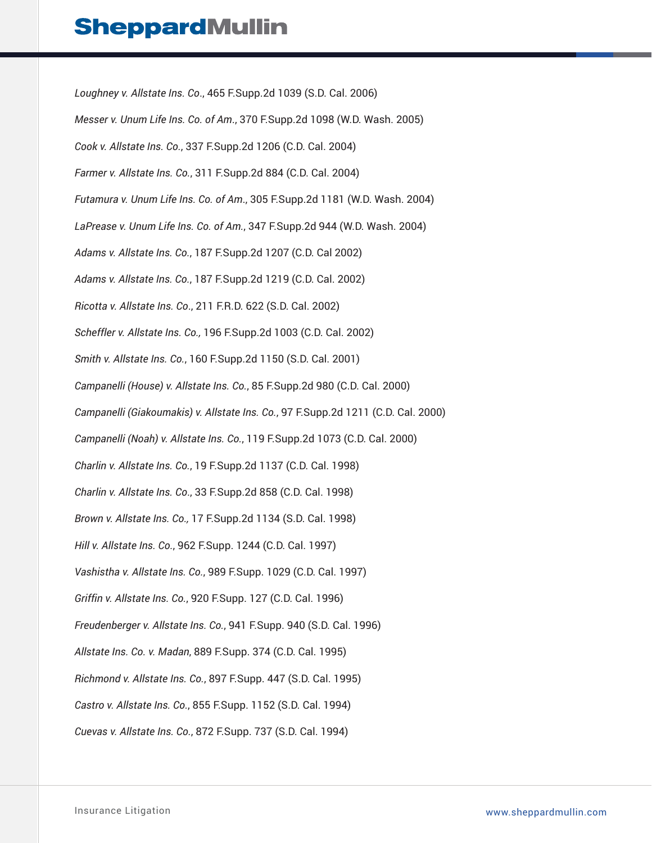*Loughney v. Allstate Ins. Co*., 465 F.Supp.2d 1039 (S.D. Cal. 2006) *Messer v. Unum Life Ins. Co. of Am*., 370 F.Supp.2d 1098 (W.D. Wash. 2005) *Cook v. Allstate Ins. Co.*, 337 F.Supp.2d 1206 (C.D. Cal. 2004) *Farmer v. Allstate Ins. Co.*, 311 F.Supp.2d 884 (C.D. Cal. 2004) *Futamura v. Unum Life Ins. Co. of Am*., 305 F.Supp.2d 1181 (W.D. Wash. 2004) *LaPrease v. Unum Life Ins. Co. of Am.*, 347 F.Supp.2d 944 (W.D. Wash. 2004) *Adams v. Allstate Ins. Co.*, 187 F.Supp.2d 1207 (C.D. Cal 2002) *Adams v. Allstate Ins. Co.*, 187 F.Supp.2d 1219 (C.D. Cal. 2002) *Ricotta v. Allstate Ins. Co*., 211 F.R.D. 622 (S.D. Cal. 2002) *Scheffler v. Allstate Ins. Co.,* 196 F.Supp.2d 1003 (C.D. Cal. 2002) *Smith v. Allstate Ins. Co.*, 160 F.Supp.2d 1150 (S.D. Cal. 2001) *Campanelli (House) v. Allstate Ins. Co.*, 85 F.Supp.2d 980 (C.D. Cal. 2000) *Campanelli (Giakoumakis) v. Allstate Ins. Co.*, 97 F.Supp.2d 1211 (C.D. Cal. 2000) *Campanelli (Noah) v. Allstate Ins. Co.*, 119 F.Supp.2d 1073 (C.D. Cal. 2000) *Charlin v. Allstate Ins. Co.*, 19 F.Supp.2d 1137 (C.D. Cal. 1998) *Charlin v. Allstate Ins. Co*., 33 F.Supp.2d 858 (C.D. Cal. 1998) *Brown v. Allstate Ins. Co.,* 17 F.Supp.2d 1134 (S.D. Cal. 1998) *Hill v. Allstate Ins. Co.*, 962 F.Supp. 1244 (C.D. Cal. 1997) *Vashistha v. Allstate Ins. Co.*, 989 F.Supp. 1029 (C.D. Cal. 1997) *Griffin v. Allstate Ins. Co.*, 920 F.Supp. 127 (C.D. Cal. 1996) *Freudenberger v. Allstate Ins. Co.*, 941 F.Supp. 940 (S.D. Cal. 1996) *Allstate Ins. Co. v. Madan*, 889 F.Supp. 374 (C.D. Cal. 1995) *Richmond v. Allstate Ins. Co.*, 897 F.Supp. 447 (S.D. Cal. 1995) *Castro v. Allstate Ins. Co.*, 855 F.Supp. 1152 (S.D. Cal. 1994) *Cuevas v. Allstate Ins. Co.*, 872 F.Supp. 737 (S.D. Cal. 1994)